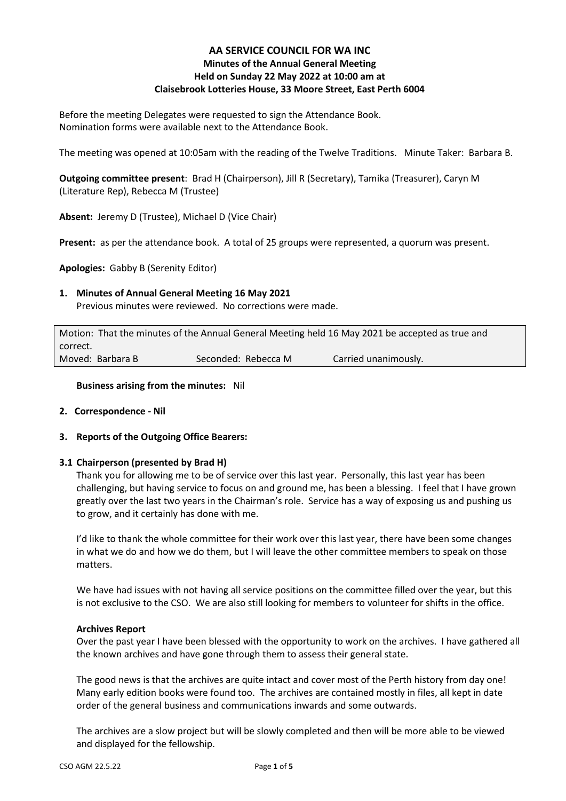# **AA SERVICE COUNCIL FOR WA INC Minutes of the Annual General Meeting Held on Sunday 22 May 2022 at 10:00 am at Claisebrook Lotteries House, 33 Moore Street, East Perth 6004**

Before the meeting Delegates were requested to sign the Attendance Book. Nomination forms were available next to the Attendance Book.

The meeting was opened at 10:05am with the reading of the Twelve Traditions. Minute Taker: Barbara B.

**Outgoing committee present**: Brad H (Chairperson), Jill R (Secretary), Tamika (Treasurer), Caryn M (Literature Rep), Rebecca M (Trustee)

**Absent:** Jeremy D (Trustee), Michael D (Vice Chair)

**Present:** as per the attendance book. A total of 25 groups were represented, a quorum was present.

**Apologies:** Gabby B (Serenity Editor)

# **1. Minutes of Annual General Meeting 16 May 2021**

Previous minutes were reviewed. No corrections were made.

Motion: That the minutes of the Annual General Meeting held 16 May 2021 be accepted as true and correct. Moved: Barbara B Seconded: Rebecca M Carried unanimously.

**Business arising from the minutes:** Nil

# **2. Correspondence - Nil**

# **3. Reports of the Outgoing Office Bearers:**

# **3.1 Chairperson (presented by Brad H)**

Thank you for allowing me to be of service over this last year. Personally, this last year has been challenging, but having service to focus on and ground me, has been a blessing. I feel that I have grown greatly over the last two years in the Chairman's role. Service has a way of exposing us and pushing us to grow, and it certainly has done with me.

I'd like to thank the whole committee for their work over this last year, there have been some changes in what we do and how we do them, but I will leave the other committee members to speak on those matters.

We have had issues with not having all service positions on the committee filled over the year, but this is not exclusive to the CSO. We are also still looking for members to volunteer for shifts in the office.

#### **Archives Report**

Over the past year I have been blessed with the opportunity to work on the archives. I have gathered all the known archives and have gone through them to assess their general state.

The good news is that the archives are quite intact and cover most of the Perth history from day one! Many early edition books were found too. The archives are contained mostly in files, all kept in date order of the general business and communications inwards and some outwards.

The archives are a slow project but will be slowly completed and then will be more able to be viewed and displayed for the fellowship.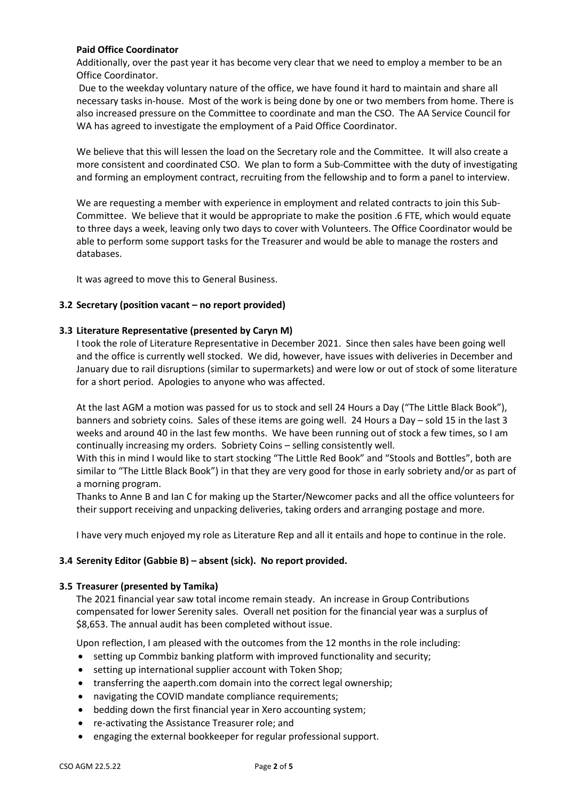# **Paid Office Coordinator**

Additionally, over the past year it has become very clear that we need to employ a member to be an Office Coordinator.

Due to the weekday voluntary nature of the office, we have found it hard to maintain and share all necessary tasks in-house. Most of the work is being done by one or two members from home. There is also increased pressure on the Committee to coordinate and man the CSO. The AA Service Council for WA has agreed to investigate the employment of a Paid Office Coordinator.

We believe that this will lessen the load on the Secretary role and the Committee. It will also create a more consistent and coordinated CSO. We plan to form a Sub-Committee with the duty of investigating and forming an employment contract, recruiting from the fellowship and to form a panel to interview.

We are requesting a member with experience in employment and related contracts to join this Sub-Committee. We believe that it would be appropriate to make the position .6 FTE, which would equate to three days a week, leaving only two days to cover with Volunteers. The Office Coordinator would be able to perform some support tasks for the Treasurer and would be able to manage the rosters and databases.

It was agreed to move this to General Business.

#### **3.2 Secretary (position vacant – no report provided)**

#### **3.3 Literature Representative (presented by Caryn M)**

I took the role of Literature Representative in December 2021. Since then sales have been going well and the office is currently well stocked. We did, however, have issues with deliveries in December and January due to rail disruptions (similar to supermarkets) and were low or out of stock of some literature for a short period. Apologies to anyone who was affected.

At the last AGM a motion was passed for us to stock and sell 24 Hours a Day ("The Little Black Book"), banners and sobriety coins. Sales of these items are going well. 24 Hours a Day – sold 15 in the last 3 weeks and around 40 in the last few months. We have been running out of stock a few times, so I am continually increasing my orders. Sobriety Coins – selling consistently well.

With this in mind I would like to start stocking "The Little Red Book" and "Stools and Bottles", both are similar to "The Little Black Book") in that they are very good for those in early sobriety and/or as part of a morning program.

Thanks to Anne B and Ian C for making up the Starter/Newcomer packs and all the office volunteers for their support receiving and unpacking deliveries, taking orders and arranging postage and more.

I have very much enjoyed my role as Literature Rep and all it entails and hope to continue in the role.

# **3.4 Serenity Editor (Gabbie B) – absent (sick). No report provided.**

#### **3.5 Treasurer (presented by Tamika)**

The 2021 financial year saw total income remain steady. An increase in Group Contributions compensated for lower Serenity sales. Overall net position for the financial year was a surplus of \$8,653. The annual audit has been completed without issue.

Upon reflection, I am pleased with the outcomes from the 12 months in the role including:

- setting up Commbiz banking platform with improved functionality and security;
- setting up international supplier account with Token Shop;
- transferring the aaperth.com domain into the correct legal ownership;
- navigating the COVID mandate compliance requirements;
- bedding down the first financial year in Xero accounting system;
- re-activating the Assistance Treasurer role; and
- engaging the external bookkeeper for regular professional support.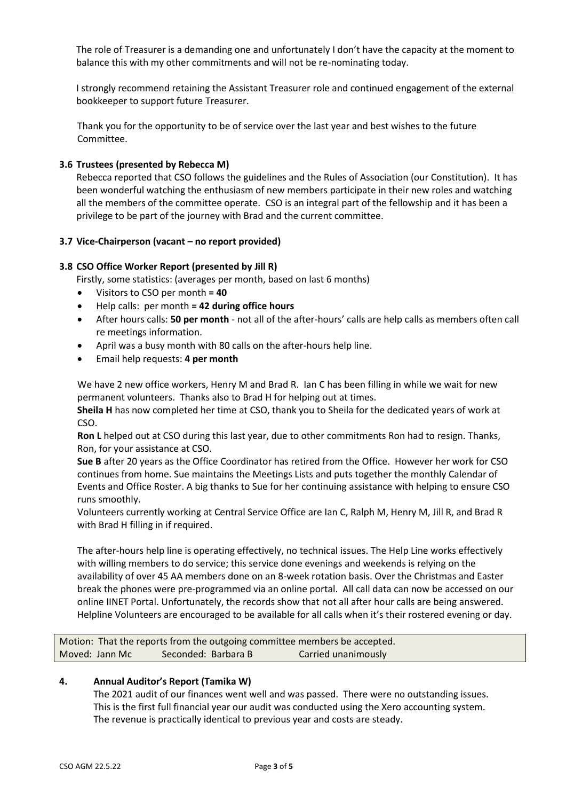The role of Treasurer is a demanding one and unfortunately I don't have the capacity at the moment to balance this with my other commitments and will not be re-nominating today.

I strongly recommend retaining the Assistant Treasurer role and continued engagement of the external bookkeeper to support future Treasurer.

Thank you for the opportunity to be of service over the last year and best wishes to the future Committee.

# **3.6 Trustees (presented by Rebecca M)**

Rebecca reported that CSO follows the guidelines and the Rules of Association (our Constitution). It has been wonderful watching the enthusiasm of new members participate in their new roles and watching all the members of the committee operate. CSO is an integral part of the fellowship and it has been a privilege to be part of the journey with Brad and the current committee.

# **3.7 Vice-Chairperson (vacant – no report provided)**

# **3.8 CSO Office Worker Report (presented by Jill R)**

Firstly, some statistics: (averages per month, based on last 6 months)

- Visitors to CSO per month **= 40**
- Help calls: per month **= 42 during office hours**
- After hours calls: **50 per month** not all of the after-hours' calls are help calls as members often call re meetings information.
- April was a busy month with 80 calls on the after-hours help line.
- Email help requests: **4 per month**

We have 2 new office workers, Henry M and Brad R. Ian C has been filling in while we wait for new permanent volunteers. Thanks also to Brad H for helping out at times.

**Sheila H** has now completed her time at CSO, thank you to Sheila for the dedicated years of work at CSO.

**Ron L** helped out at CSO during this last year, due to other commitments Ron had to resign. Thanks, Ron, for your assistance at CSO.

**Sue B** after 20 years as the Office Coordinator has retired from the Office. However her work for CSO continues from home. Sue maintains the Meetings Lists and puts together the monthly Calendar of Events and Office Roster. A big thanks to Sue for her continuing assistance with helping to ensure CSO runs smoothly.

Volunteers currently working at Central Service Office are Ian C, Ralph M, Henry M, Jill R, and Brad R with Brad H filling in if required.

The after-hours help line is operating effectively, no technical issues. The Help Line works effectively with willing members to do service; this service done evenings and weekends is relying on the availability of over 45 AA members done on an 8-week rotation basis. Over the Christmas and Easter break the phones were pre-programmed via an online portal. All call data can now be accessed on our online IINET Portal. Unfortunately, the records show that not all after hour calls are being answered. Helpline Volunteers are encouraged to be available for all calls when it's their rostered evening or day.

Motion: That the reports from the outgoing committee members be accepted. Moved: Jann Mc Seconded: Barbara B Carried unanimously

# **4. Annual Auditor's Report (Tamika W)**

The 2021 audit of our finances went well and was passed. There were no outstanding issues. This is the first full financial year our audit was conducted using the Xero accounting system. The revenue is practically identical to previous year and costs are steady.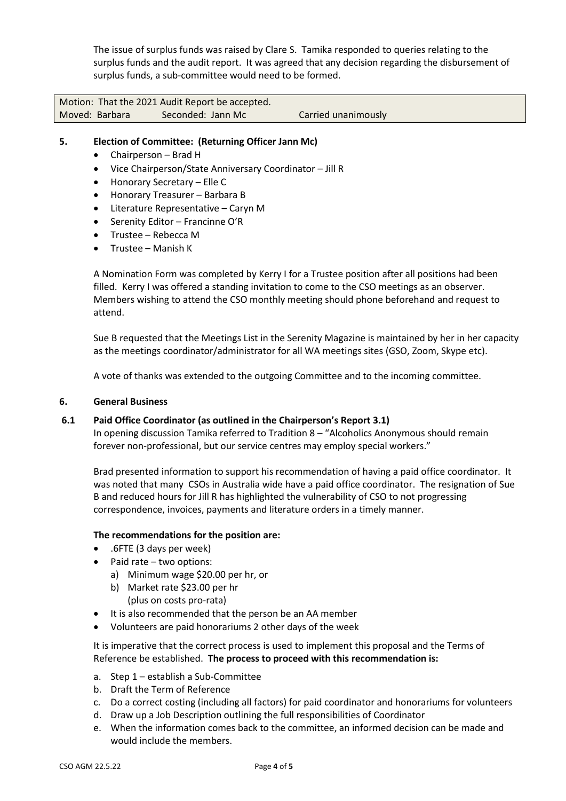The issue of surplus funds was raised by Clare S. Tamika responded to queries relating to the surplus funds and the audit report. It was agreed that any decision regarding the disbursement of surplus funds, a sub-committee would need to be formed.

Motion: That the 2021 Audit Report be accepted. Moved: Barbara Seconded: Jann Mc Carried unanimously

# **5. Election of Committee: (Returning Officer Jann Mc)**

- Chairperson Brad H
- Vice Chairperson/State Anniversary Coordinator Jill R
- Honorary Secretary Elle C
- Honorary Treasurer Barbara B
- Literature Representative Caryn M
- Serenity Editor Francinne O'R
- Trustee Rebecca M
- Trustee Manish K

A Nomination Form was completed by Kerry I for a Trustee position after all positions had been filled. Kerry I was offered a standing invitation to come to the CSO meetings as an observer. Members wishing to attend the CSO monthly meeting should phone beforehand and request to attend.

Sue B requested that the Meetings List in the Serenity Magazine is maintained by her in her capacity as the meetings coordinator/administrator for all WA meetings sites (GSO, Zoom, Skype etc).

A vote of thanks was extended to the outgoing Committee and to the incoming committee.

#### **6. General Business**

# **6.1 Paid Office Coordinator (as outlined in the Chairperson's Report 3.1)**

In opening discussion Tamika referred to Tradition 8 – "Alcoholics Anonymous should remain forever non-professional, but our service centres may employ special workers."

Brad presented information to support his recommendation of having a paid office coordinator. It was noted that many CSOs in Australia wide have a paid office coordinator. The resignation of Sue B and reduced hours for Jill R has highlighted the vulnerability of CSO to not progressing correspondence, invoices, payments and literature orders in a timely manner.

# **The recommendations for the position are:**

- .6FTE (3 days per week)
- $\bullet$  Paid rate two options:
	- a) Minimum wage \$20.00 per hr, or
	- b) Market rate \$23.00 per hr (plus on costs pro-rata)
- It is also recommended that the person be an AA member
- Volunteers are paid honorariums 2 other days of the week

It is imperative that the correct process is used to implement this proposal and the Terms of Reference be established. **The process to proceed with this recommendation is:**

- a. Step 1 establish a Sub-Committee
- b. Draft the Term of Reference
- c. Do a correct costing (including all factors) for paid coordinator and honorariums for volunteers
- d. Draw up a Job Description outlining the full responsibilities of Coordinator
- e. When the information comes back to the committee, an informed decision can be made and would include the members.